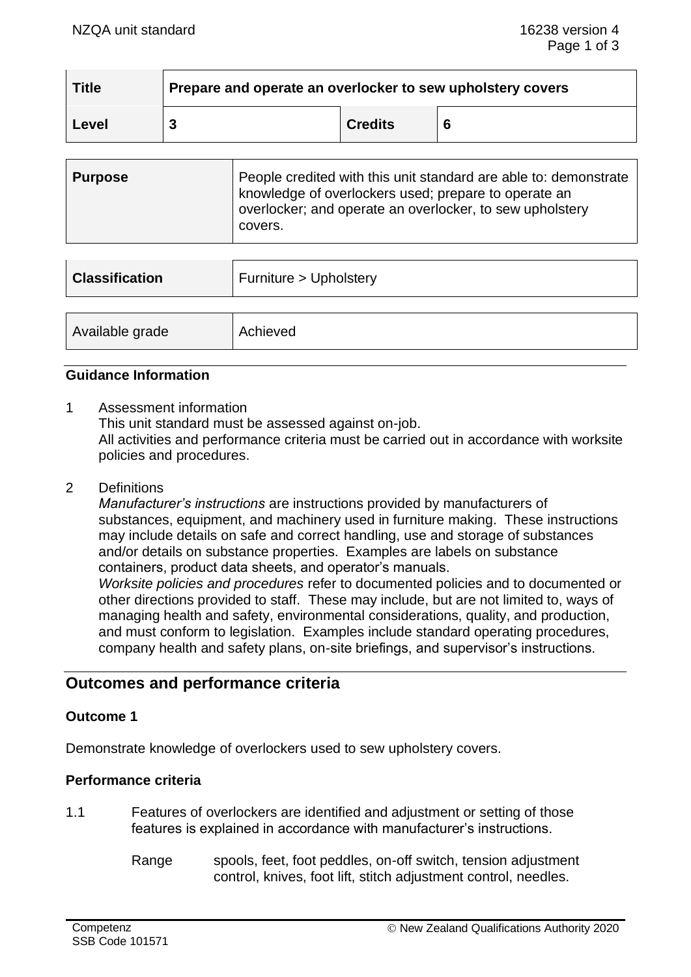| <b>Title</b> | Prepare and operate an overlocker to sew upholstery covers |                |   |
|--------------|------------------------------------------------------------|----------------|---|
| Level        |                                                            | <b>Credits</b> | 6 |

| Purpose | People credited with this unit standard are able to: demonstrate<br>knowledge of overlockers used; prepare to operate an<br>overlocker; and operate an overlocker, to sew upholstery<br>covers. |
|---------|-------------------------------------------------------------------------------------------------------------------------------------------------------------------------------------------------|
|         |                                                                                                                                                                                                 |

| Furniture > Upholstery |  |
|------------------------|--|
| Achieved               |  |
|                        |  |

# **Guidance Information**

1 Assessment information

This unit standard must be assessed against on-job.

All activities and performance criteria must be carried out in accordance with worksite policies and procedures.

2 Definitions

*Manufacturer's instructions* are instructions provided by manufacturers of substances, equipment, and machinery used in furniture making. These instructions may include details on safe and correct handling, use and storage of substances and/or details on substance properties. Examples are labels on substance containers, product data sheets, and operator's manuals. *Worksite policies and procedures* refer to documented policies and to documented or other directions provided to staff. These may include, but are not limited to, ways of managing health and safety, environmental considerations, quality, and production, and must conform to legislation. Examples include standard operating procedures, company health and safety plans, on-site briefings, and supervisor's instructions.

# **Outcomes and performance criteria**

### **Outcome 1**

Demonstrate knowledge of overlockers used to sew upholstery covers.

### **Performance criteria**

- 1.1 Features of overlockers are identified and adjustment or setting of those features is explained in accordance with manufacturer's instructions.
	- Range spools, feet, foot peddles, on-off switch, tension adjustment control, knives, foot lift, stitch adjustment control, needles.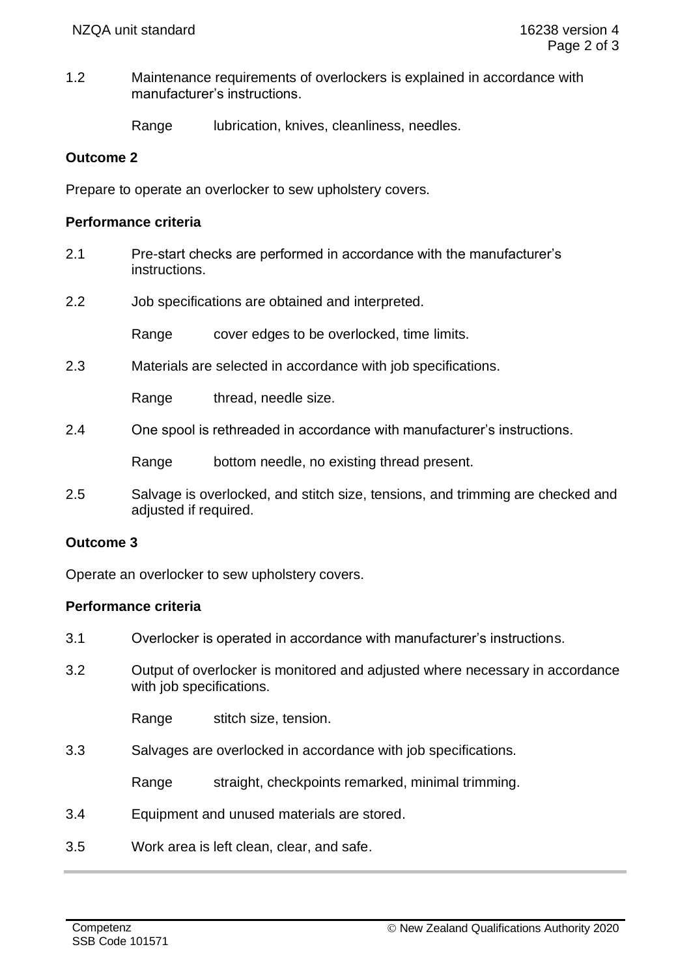1.2 Maintenance requirements of overlockers is explained in accordance with manufacturer's instructions.

Range lubrication, knives, cleanliness, needles.

#### **Outcome 2**

Prepare to operate an overlocker to sew upholstery covers.

#### **Performance criteria**

- 2.1 Pre-start checks are performed in accordance with the manufacturer's instructions.
- 2.2 Job specifications are obtained and interpreted.

Range cover edges to be overlocked, time limits.

2.3 Materials are selected in accordance with job specifications.

Range thread, needle size.

2.4 One spool is rethreaded in accordance with manufacturer's instructions.

Range bottom needle, no existing thread present.

2.5 Salvage is overlocked, and stitch size, tensions, and trimming are checked and adjusted if required.

#### **Outcome 3**

Operate an overlocker to sew upholstery covers.

#### **Performance criteria**

- 3.1 Overlocker is operated in accordance with manufacturer's instructions.
- 3.2 Output of overlocker is monitored and adjusted where necessary in accordance with job specifications.

Range stitch size, tension.

3.3 Salvages are overlocked in accordance with job specifications.

Range straight, checkpoints remarked, minimal trimming.

- 3.4 Equipment and unused materials are stored.
- 3.5 Work area is left clean, clear, and safe.